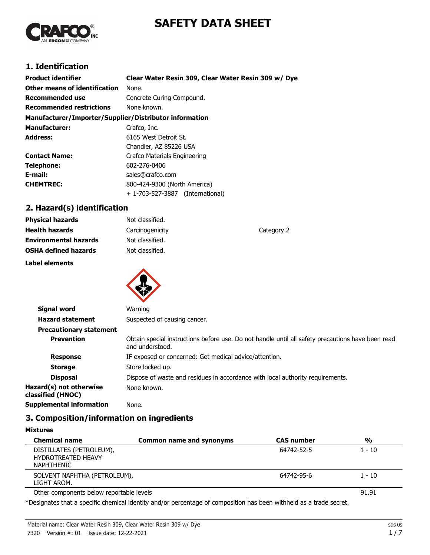# **SAFETY DATA SHEET**



# **1. Identification**

| <b>Product identifier</b>                              | Clear Water Resin 309, Clear Water Resin 309 w/ Dye |  |
|--------------------------------------------------------|-----------------------------------------------------|--|
| Other means of identification                          | None.                                               |  |
| Recommended use                                        | Concrete Curing Compound.                           |  |
| <b>Recommended restrictions</b>                        | None known.                                         |  |
| Manufacturer/Importer/Supplier/Distributor information |                                                     |  |
| <b>Manufacturer:</b>                                   | Crafco, Inc.                                        |  |
| <b>Address:</b>                                        | 6165 West Detroit St.                               |  |
|                                                        | Chandler, AZ 85226 USA                              |  |
| <b>Contact Name:</b>                                   | Crafco Materials Engineering                        |  |
| Telephone:                                             | 602-276-0406                                        |  |
| E-mail:                                                | sales@crafco.com                                    |  |
| <b>CHEMTREC:</b>                                       | 800-424-9300 (North America)                        |  |
|                                                        | + 1-703-527-3887 (International)                    |  |

# **2. Hazard(s) identification**

| <b>Physical hazards</b>      | Not classified. |            |
|------------------------------|-----------------|------------|
| <b>Health hazards</b>        | Carcinogenicity | Category 2 |
| <b>Environmental hazards</b> | Not classified. |            |
| <b>OSHA defined hazards</b>  | Not classified. |            |
| Label elements               |                 |            |



| <b>Signal word</b>                           | Warning                                                                                                              |
|----------------------------------------------|----------------------------------------------------------------------------------------------------------------------|
| <b>Hazard statement</b>                      | Suspected of causing cancer.                                                                                         |
| <b>Precautionary statement</b>               |                                                                                                                      |
| <b>Prevention</b>                            | Obtain special instructions before use. Do not handle until all safety precautions have been read<br>and understood. |
| <b>Response</b>                              | IF exposed or concerned: Get medical advice/attention.                                                               |
| <b>Storage</b>                               | Store locked up.                                                                                                     |
| <b>Disposal</b>                              | Dispose of waste and residues in accordance with local authority requirements.                                       |
| Hazard(s) not otherwise<br>classified (HNOC) | None known.                                                                                                          |
| Supplemental information                     | None.                                                                                                                |
|                                              |                                                                                                                      |

# **3. Composition/information on ingredients**

| <b>Chemical name</b>                                                       | Common name and synonyms | <b>CAS number</b> | %        |
|----------------------------------------------------------------------------|--------------------------|-------------------|----------|
| DISTILLATES (PETROLEUM),<br><b>HYDROTREATED HEAVY</b><br><b>NAPHTHENIC</b> |                          | 64742-52-5        | $1 - 10$ |
| SOLVENT NAPHTHA (PETROLEUM),<br>LIGHT AROM.                                |                          | 64742-95-6        | $1 - 10$ |
| Other components below reportable levels                                   |                          |                   | 91.91    |

\*Designates that a specific chemical identity and/or percentage of composition has been withheld as a trade secret.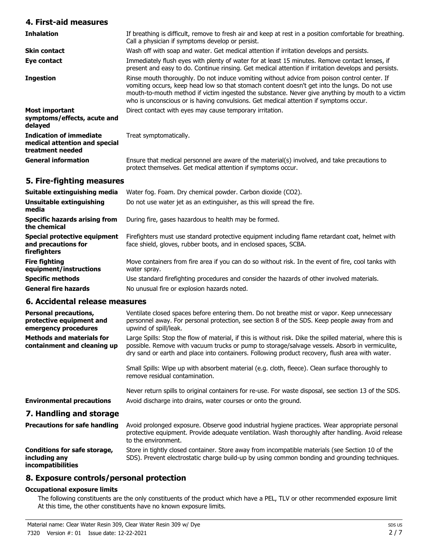## **4. First-aid measures**

| <b>Inhalation</b>                                                            | If breathing is difficult, remove to fresh air and keep at rest in a position comfortable for breathing.<br>Call a physician if symptoms develop or persist.                                                                                                                                                                                                                               |
|------------------------------------------------------------------------------|--------------------------------------------------------------------------------------------------------------------------------------------------------------------------------------------------------------------------------------------------------------------------------------------------------------------------------------------------------------------------------------------|
| <b>Skin contact</b>                                                          | Wash off with soap and water. Get medical attention if irritation develops and persists.                                                                                                                                                                                                                                                                                                   |
| Eye contact                                                                  | Immediately flush eyes with plenty of water for at least 15 minutes. Remove contact lenses, if<br>present and easy to do. Continue rinsing. Get medical attention if irritation develops and persists.                                                                                                                                                                                     |
| <b>Ingestion</b>                                                             | Rinse mouth thoroughly. Do not induce vomiting without advice from poison control center. If<br>vomiting occurs, keep head low so that stomach content doesn't get into the lungs. Do not use<br>mouth-to-mouth method if victim ingested the substance. Never give anything by mouth to a victim<br>who is unconscious or is having convulsions. Get medical attention if symptoms occur. |
| <b>Most important</b><br>symptoms/effects, acute and<br>delayed              | Direct contact with eyes may cause temporary irritation.                                                                                                                                                                                                                                                                                                                                   |
| Indication of immediate<br>medical attention and special<br>treatment needed | Treat symptomatically.                                                                                                                                                                                                                                                                                                                                                                     |
| <b>General information</b>                                                   | Ensure that medical personnel are aware of the material(s) involved, and take precautions to<br>protect themselves. Get medical attention if symptoms occur.                                                                                                                                                                                                                               |

## **5. Fire-fighting measures**

| Suitable extinguishing media                                        | Water fog. Foam. Dry chemical powder. Carbon dioxide (CO2).                                                                                                         |
|---------------------------------------------------------------------|---------------------------------------------------------------------------------------------------------------------------------------------------------------------|
| Unsuitable extinguishing<br>media                                   | Do not use water jet as an extinguisher, as this will spread the fire.                                                                                              |
| <b>Specific hazards arising from</b><br>the chemical                | During fire, gases hazardous to health may be formed.                                                                                                               |
| Special protective equipment<br>and precautions for<br>firefighters | Firefighters must use standard protective equipment including flame retardant coat, helmet with<br>face shield, gloves, rubber boots, and in enclosed spaces, SCBA. |
| <b>Fire fighting</b><br>equipment/instructions                      | Move containers from fire area if you can do so without risk. In the event of fire, cool tanks with<br>water spray.                                                 |
| <b>Specific methods</b>                                             | Use standard firefighting procedures and consider the hazards of other involved materials.                                                                          |
| <b>General fire hazards</b>                                         | No unusual fire or explosion hazards noted.                                                                                                                         |

## **6. Accidental release measures**

| <b>Personal precautions,</b><br>protective equipment and<br>emergency procedures | Ventilate closed spaces before entering them. Do not breathe mist or vapor. Keep unnecessary<br>personnel away. For personal protection, see section 8 of the SDS. Keep people away from and<br>upwind of spill/leak.                                                                                           |
|----------------------------------------------------------------------------------|-----------------------------------------------------------------------------------------------------------------------------------------------------------------------------------------------------------------------------------------------------------------------------------------------------------------|
| <b>Methods and materials for</b><br>containment and cleaning up                  | Large Spills: Stop the flow of material, if this is without risk. Dike the spilled material, where this is<br>possible. Remove with vacuum trucks or pump to storage/salvage vessels. Absorb in vermiculite,<br>dry sand or earth and place into containers. Following product recovery, flush area with water. |
|                                                                                  | Small Spills: Wipe up with absorbent material (e.g. cloth, fleece). Clean surface thoroughly to<br>remove residual contamination.                                                                                                                                                                               |
|                                                                                  | Never return spills to original containers for re-use. For waste disposal, see section 13 of the SDS.                                                                                                                                                                                                           |
| <b>Environmental precautions</b>                                                 | Avoid discharge into drains, water courses or onto the ground.                                                                                                                                                                                                                                                  |
| 7. Handling and storage                                                          |                                                                                                                                                                                                                                                                                                                 |
| <b>Precautions for safe handling</b>                                             | Avoid prolonged exposure. Observe good industrial hygiene practices. Wear appropriate personal<br>protective equipment. Provide adequate ventilation. Wash thoroughly after handling. Avoid release<br>to the environment.                                                                                      |
| Conditions for safe storage,<br>including any                                    | Store in tightly closed container. Store away from incompatible materials (see Section 10 of the<br>SDS). Prevent electrostatic charge build-up by using common bonding and grounding techniques.                                                                                                               |

## **8. Exposure controls/personal protection**

### **Occupational exposure limits**

**incompatibilities**

The following constituents are the only constituents of the product which have a PEL, TLV or other recommended exposure limit. At this time, the other constituents have no known exposure limits.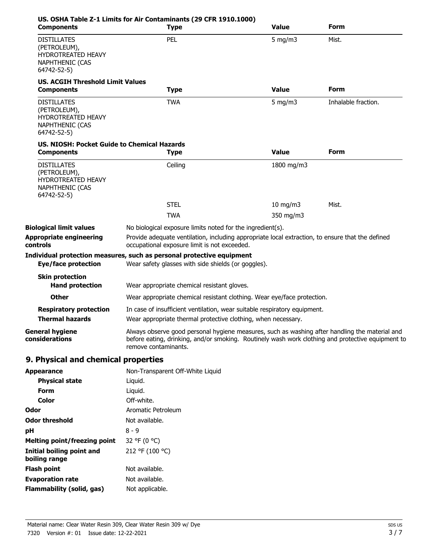| <b>Components</b>                                                                                 | US. OSHA Table Z-1 Limits for Air Contaminants (29 CFR 1910.1000)<br><b>Type</b>                                                                                                                                            | <b>Value</b>      | Form                |
|---------------------------------------------------------------------------------------------------|-----------------------------------------------------------------------------------------------------------------------------------------------------------------------------------------------------------------------------|-------------------|---------------------|
| <b>DISTILLATES</b><br>(PETROLEUM),<br>HYDROTREATED HEAVY<br><b>NAPHTHENIC (CAS</b><br>64742-52-5) | PEL                                                                                                                                                                                                                         | 5 mg/m $3$        | Mist.               |
| <b>US. ACGIH Threshold Limit Values</b><br><b>Components</b>                                      | <b>Type</b>                                                                                                                                                                                                                 | <b>Value</b>      | Form                |
| <b>DISTILLATES</b><br>(PETROLEUM),<br>HYDROTREATED HEAVY<br><b>NAPHTHENIC (CAS</b><br>64742-52-5) | <b>TWA</b>                                                                                                                                                                                                                  | $5 \text{ mg/m}$  | Inhalable fraction. |
| <b>US. NIOSH: Pocket Guide to Chemical Hazards</b><br><b>Components</b>                           | <b>Type</b>                                                                                                                                                                                                                 | <b>Value</b>      | Form                |
| <b>DISTILLATES</b><br>(PETROLEUM),<br>HYDROTREATED HEAVY<br><b>NAPHTHENIC (CAS</b><br>64742-52-5) | Ceiling                                                                                                                                                                                                                     | 1800 mg/m3        |                     |
|                                                                                                   | <b>STEL</b>                                                                                                                                                                                                                 | $10 \text{ mg/m}$ | Mist.               |
|                                                                                                   | <b>TWA</b>                                                                                                                                                                                                                  | 350 mg/m3         |                     |
| <b>Biological limit values</b>                                                                    | No biological exposure limits noted for the ingredient(s).                                                                                                                                                                  |                   |                     |
| <b>Appropriate engineering</b><br>controls                                                        | Provide adequate ventilation, including appropriate local extraction, to ensure that the defined<br>occupational exposure limit is not exceeded.                                                                            |                   |                     |
| <b>Eye/face protection</b>                                                                        | Individual protection measures, such as personal protective equipment<br>Wear safety glasses with side shields (or goggles).                                                                                                |                   |                     |
| <b>Skin protection</b><br><b>Hand protection</b>                                                  | Wear appropriate chemical resistant gloves.                                                                                                                                                                                 |                   |                     |
| <b>Other</b>                                                                                      | Wear appropriate chemical resistant clothing. Wear eye/face protection.                                                                                                                                                     |                   |                     |
| <b>Respiratory protection</b>                                                                     | In case of insufficient ventilation, wear suitable respiratory equipment.                                                                                                                                                   |                   |                     |
| <b>Thermal hazards</b>                                                                            | Wear appropriate thermal protective clothing, when necessary.                                                                                                                                                               |                   |                     |
| <b>General hygiene</b><br>considerations                                                          | Always observe good personal hygiene measures, such as washing after handling the material and<br>before eating, drinking, and/or smoking. Routinely wash work clothing and protective equipment to<br>remove contaminants. |                   |                     |
| 9. Physical and chemical properties                                                               |                                                                                                                                                                                                                             |                   |                     |
| <b>Appearance</b>                                                                                 | Non-Transparent Off-White Liquid                                                                                                                                                                                            |                   |                     |
| <b>Physical state</b>                                                                             | Liquid.                                                                                                                                                                                                                     |                   |                     |
| <b>Form</b>                                                                                       | Liquid.                                                                                                                                                                                                                     |                   |                     |
| <b>Color</b>                                                                                      | Off-white.                                                                                                                                                                                                                  |                   |                     |
| Odor                                                                                              | Aromatic Petroleum                                                                                                                                                                                                          |                   |                     |
| <b>Odor threshold</b>                                                                             | Not available.                                                                                                                                                                                                              |                   |                     |
| рH                                                                                                | $8 - 9$                                                                                                                                                                                                                     |                   |                     |
|                                                                                                   |                                                                                                                                                                                                                             |                   |                     |
| <b>Melting point/freezing point</b>                                                               | 32 °F (0 °C)                                                                                                                                                                                                                |                   |                     |
| <b>Initial boiling point and</b><br>boiling range                                                 | 212 °F (100 °C)                                                                                                                                                                                                             |                   |                     |
| <b>Flash point</b>                                                                                | Not available.                                                                                                                                                                                                              |                   |                     |
| <b>Evaporation rate</b>                                                                           | Not available.                                                                                                                                                                                                              |                   |                     |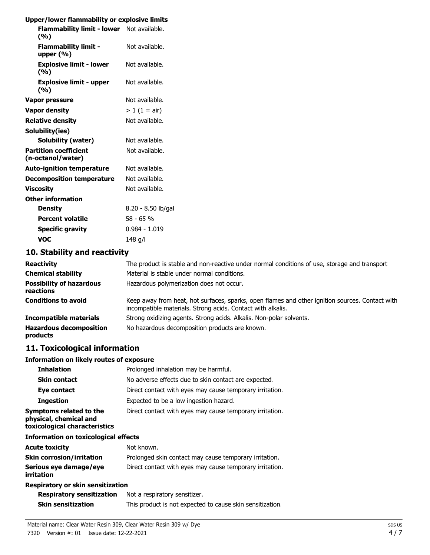## **Upper/lower flammability or explosive limits**

| opper, lower nummability or explosive mini        |                    |
|---------------------------------------------------|--------------------|
| Flammability limit - lower Not available.<br>(%)  |                    |
| <b>Flammability limit -</b><br>upper $(\% )$      | Not available.     |
| <b>Explosive limit - lower</b><br>(%)             | Not available.     |
| <b>Explosive limit - upper</b><br>(%)             | Not available.     |
| Vapor pressure                                    | Not available.     |
| <b>Vapor density</b>                              | $> 1 (1 = air)$    |
| <b>Relative density</b>                           | Not available.     |
| Solubility(ies)                                   |                    |
| <b>Solubility (water)</b>                         | Not available.     |
| <b>Partition coefficient</b><br>(n-octanol/water) | Not available.     |
| <b>Auto-ignition temperature</b>                  | Not available.     |
| <b>Decomposition temperature</b>                  | Not available.     |
| Viscositv                                         | Not available.     |
| <b>Other information</b>                          |                    |
| <b>Density</b>                                    | 8.20 - 8.50 lb/gal |
| <b>Percent volatile</b>                           | 58 - 65 %          |
| <b>Specific gravity</b>                           | $0.984 - 1.019$    |
| VOC                                               | 148 a/l            |

# **10. Stability and reactivity**

| <b>Reactivity</b>                            | The product is stable and non-reactive under normal conditions of use, storage and transport                                                                   |
|----------------------------------------------|----------------------------------------------------------------------------------------------------------------------------------------------------------------|
| <b>Chemical stability</b>                    | Material is stable under normal conditions.                                                                                                                    |
| <b>Possibility of hazardous</b><br>reactions | Hazardous polymerization does not occur.                                                                                                                       |
| <b>Conditions to avoid</b>                   | Keep away from heat, hot surfaces, sparks, open flames and other ignition sources. Contact with<br>incompatible materials. Strong acids. Contact with alkalis. |
| <b>Incompatible materials</b>                | Strong oxidizing agents. Strong acids. Alkalis. Non-polar solvents.                                                                                            |
| <b>Hazardous decomposition</b><br>products   | No hazardous decomposition products are known.                                                                                                                 |

## **11. Toxicological information**

### **Information on likely routes of exposure**

| <b>Inhalation</b>                                                                  | Prolonged inhalation may be harmful.                     |
|------------------------------------------------------------------------------------|----------------------------------------------------------|
| <b>Skin contact</b>                                                                | No adverse effects due to skin contact are expected.     |
| Eye contact                                                                        | Direct contact with eyes may cause temporary irritation. |
| <b>Ingestion</b>                                                                   | Expected to be a low ingestion hazard.                   |
| Symptoms related to the<br>physical, chemical and<br>toxicological characteristics | Direct contact with eyes may cause temporary irritation. |
| <b>Information on toxicological effects</b>                                        |                                                          |

| <b>Acute toxicity</b>                | Not known.                                               |
|--------------------------------------|----------------------------------------------------------|
| <b>Skin corrosion/irritation</b>     | Prolonged skin contact may cause temporary irritation.   |
| Serious eye damage/eye<br>irritation | Direct contact with eyes may cause temporary irritation. |
| Respiratory or skin sensitization    |                                                          |
| <b>Respiratory sensitization</b>     | Not a respiratory sensitizer.                            |

# **Skin sensitization** This product is not expected to cause skin sensitization.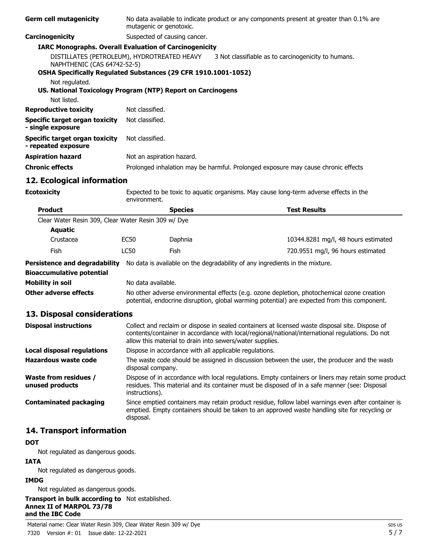| <b>Germ cell mutagenicity</b>                                                                                                                | No data available to indicate product or any components present at greater than 0.1% are<br>mutagenic or genotoxic.                                                                                                    |                                                                                                                                                                                                                                                                |                                                                                       |  |
|----------------------------------------------------------------------------------------------------------------------------------------------|------------------------------------------------------------------------------------------------------------------------------------------------------------------------------------------------------------------------|----------------------------------------------------------------------------------------------------------------------------------------------------------------------------------------------------------------------------------------------------------------|---------------------------------------------------------------------------------------|--|
| Carcinogenicity                                                                                                                              |                                                                                                                                                                                                                        | Suspected of causing cancer.                                                                                                                                                                                                                                   |                                                                                       |  |
| <b>IARC Monographs. Overall Evaluation of Carcinogenicity</b>                                                                                |                                                                                                                                                                                                                        |                                                                                                                                                                                                                                                                |                                                                                       |  |
| DISTILLATES (PETROLEUM), HYDROTREATED HEAVY<br>NAPHTHENIC (CAS 64742-52-5)<br>OSHA Specifically Regulated Substances (29 CFR 1910.1001-1052) |                                                                                                                                                                                                                        |                                                                                                                                                                                                                                                                | 3 Not classifiable as to carcinogenicity to humans.                                   |  |
| Not regulated.<br>US. National Toxicology Program (NTP) Report on Carcinogens                                                                |                                                                                                                                                                                                                        |                                                                                                                                                                                                                                                                |                                                                                       |  |
| Not listed.                                                                                                                                  |                                                                                                                                                                                                                        |                                                                                                                                                                                                                                                                |                                                                                       |  |
| <b>Reproductive toxicity</b>                                                                                                                 | Not classified.                                                                                                                                                                                                        |                                                                                                                                                                                                                                                                |                                                                                       |  |
| <b>Specific target organ toxicity</b><br>- single exposure                                                                                   | Not classified.                                                                                                                                                                                                        |                                                                                                                                                                                                                                                                |                                                                                       |  |
| <b>Specific target organ toxicity</b><br>- repeated exposure                                                                                 | Not classified.                                                                                                                                                                                                        |                                                                                                                                                                                                                                                                |                                                                                       |  |
| <b>Aspiration hazard</b>                                                                                                                     | Not an aspiration hazard.                                                                                                                                                                                              |                                                                                                                                                                                                                                                                |                                                                                       |  |
| <b>Chronic effects</b>                                                                                                                       |                                                                                                                                                                                                                        |                                                                                                                                                                                                                                                                | Prolonged inhalation may be harmful. Prolonged exposure may cause chronic effects.    |  |
| 12. Ecological information                                                                                                                   |                                                                                                                                                                                                                        |                                                                                                                                                                                                                                                                |                                                                                       |  |
| <b>Ecotoxicity</b>                                                                                                                           | environment.                                                                                                                                                                                                           |                                                                                                                                                                                                                                                                | Expected to be toxic to aquatic organisms. May cause long-term adverse effects in the |  |
| <b>Product</b>                                                                                                                               |                                                                                                                                                                                                                        | <b>Species</b>                                                                                                                                                                                                                                                 | <b>Test Results</b>                                                                   |  |
| Clear Water Resin 309, Clear Water Resin 309 w/ Dye                                                                                          |                                                                                                                                                                                                                        |                                                                                                                                                                                                                                                                |                                                                                       |  |
| <b>Aquatic</b>                                                                                                                               |                                                                                                                                                                                                                        |                                                                                                                                                                                                                                                                |                                                                                       |  |
| Crustacea                                                                                                                                    | <b>EC50</b>                                                                                                                                                                                                            | Daphnia                                                                                                                                                                                                                                                        | 10344.8281 mg/l, 48 hours estimated                                                   |  |
| Fish                                                                                                                                         | <b>LC50</b>                                                                                                                                                                                                            | Fish                                                                                                                                                                                                                                                           | 720.9551 mg/l, 96 hours estimated                                                     |  |
| <b>Persistence and degradability</b>                                                                                                         |                                                                                                                                                                                                                        |                                                                                                                                                                                                                                                                | No data is available on the degradability of any ingredients in the mixture.          |  |
| <b>Bioaccumulative potential</b>                                                                                                             |                                                                                                                                                                                                                        |                                                                                                                                                                                                                                                                |                                                                                       |  |
| <b>Mobility in soil</b>                                                                                                                      | No data available.                                                                                                                                                                                                     |                                                                                                                                                                                                                                                                |                                                                                       |  |
| <b>Other adverse effects</b>                                                                                                                 |                                                                                                                                                                                                                        | No other adverse environmental effects (e.g. ozone depletion, photochemical ozone creation<br>potential, endocrine disruption, global warming potential) are expected from this component.                                                                     |                                                                                       |  |
| 13. Disposal considerations                                                                                                                  |                                                                                                                                                                                                                        |                                                                                                                                                                                                                                                                |                                                                                       |  |
| <b>Disposal instructions</b>                                                                                                                 |                                                                                                                                                                                                                        | Collect and reclaim or dispose in sealed containers at licensed waste disposal site. Dispose of<br>contents/container in accordance with local/regional/national/international regulations. Do not<br>allow this material to drain into sewers/water supplies. |                                                                                       |  |
| <b>Local disposal regulations</b>                                                                                                            |                                                                                                                                                                                                                        | Dispose in accordance with all applicable regulations.                                                                                                                                                                                                         |                                                                                       |  |
| <b>Hazardous waste code</b>                                                                                                                  |                                                                                                                                                                                                                        | The waste code should be assigned in discussion between the user, the producer and the waste<br>disposal company.                                                                                                                                              |                                                                                       |  |
| <b>Waste from residues /</b><br>unused products                                                                                              | Dispose of in accordance with local regulations. Empty containers or liners may retain some product<br>residues. This material and its container must be disposed of in a safe manner (see: Disposal<br>instructions). |                                                                                                                                                                                                                                                                |                                                                                       |  |
| <b>Contaminated packaging</b>                                                                                                                | Since emptied containers may retain product residue, follow label warnings even after container is<br>emptied. Empty containers should be taken to an approved waste handling site for recycling or<br>disposal.       |                                                                                                                                                                                                                                                                |                                                                                       |  |
| 14. Transport information                                                                                                                    |                                                                                                                                                                                                                        |                                                                                                                                                                                                                                                                |                                                                                       |  |
| <b>DOT</b><br>Not required as dangerous goods                                                                                                |                                                                                                                                                                                                                        |                                                                                                                                                                                                                                                                |                                                                                       |  |

Not regulated as dangerous goods.

# **IATA**

Not regulated as dangerous goods.

## **IMDG**

Not regulated as dangerous goods.

**Transport in bulk according to** Not established. **Annex II of MARPOL 73/78 and the IBC Code**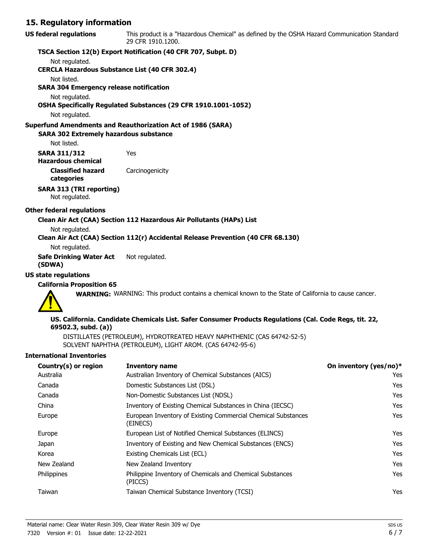## **15. Regulatory information**

| US federal regulations | This product is a "Hazardous Chemical" as defined by the OSHA Hazard Communication Standard |
|------------------------|---------------------------------------------------------------------------------------------|
|                        | 29 CFR 1910.1200.                                                                           |

#### **TSCA Section 12(b) Export Notification (40 CFR 707, Subpt. D)**

Not regulated.

**CERCLA Hazardous Substance List (40 CFR 302.4)**

Not listed.

**SARA 304 Emergency release notification**

Not regulated.

**OSHA Specifically Regulated Substances (29 CFR 1910.1001-1052)**

Not regulated.

#### **Superfund Amendments and Reauthorization Act of 1986 (SARA)**

**SARA 302 Extremely hazardous substance**

Not listed.

**SARA 311/312** Yes **Hazardous chemical**

**Classified hazard** Carcinogenicity

**categories**

**SARA 313 (TRI reporting)**

Not regulated.

#### **Other federal regulations**

#### **Clean Air Act (CAA) Section 112 Hazardous Air Pollutants (HAPs) List**

Not regulated. **Clean Air Act (CAA) Section 112(r) Accidental Release Prevention (40 CFR 68.130)**

## Not regulated.

**Safe Drinking Water Act** Not regulated. **(SDWA)**

#### **US state regulations**

#### **California Proposition 65**

**WARNING:** WARNING: This product contains a chemical known to the State of California to cause cancer.



#### **US. California. Candidate Chemicals List. Safer Consumer Products Regulations (Cal. Code Regs, tit. 22, 69502.3, subd. (a))**

DISTILLATES (PETROLEUM), HYDROTREATED HEAVY NAPHTHENIC (CAS 64742-52-5) SOLVENT NAPHTHA (PETROLEUM), LIGHT AROM. (CAS 64742-95-6)

#### **International Inventories**

| Country(s) or region | <b>Inventory name</b>                                                     | On inventory (yes/no)* |
|----------------------|---------------------------------------------------------------------------|------------------------|
| Australia            | Australian Inventory of Chemical Substances (AICS)                        | Yes                    |
| Canada               | Domestic Substances List (DSL)                                            | Yes                    |
| Canada               | Non-Domestic Substances List (NDSL)                                       | Yes                    |
| China                | Inventory of Existing Chemical Substances in China (IECSC)                | Yes                    |
| Europe               | European Inventory of Existing Commercial Chemical Substances<br>(EINECS) | Yes                    |
| Europe               | European List of Notified Chemical Substances (ELINCS)                    | Yes                    |
| Japan                | Inventory of Existing and New Chemical Substances (ENCS)                  | Yes                    |
| Korea                | Existing Chemicals List (ECL)                                             | Yes                    |
| New Zealand          | New Zealand Inventory                                                     | Yes                    |
| Philippines          | Philippine Inventory of Chemicals and Chemical Substances<br>(PICCS)      | Yes                    |
| Taiwan               | Taiwan Chemical Substance Inventory (TCSI)                                | Yes                    |